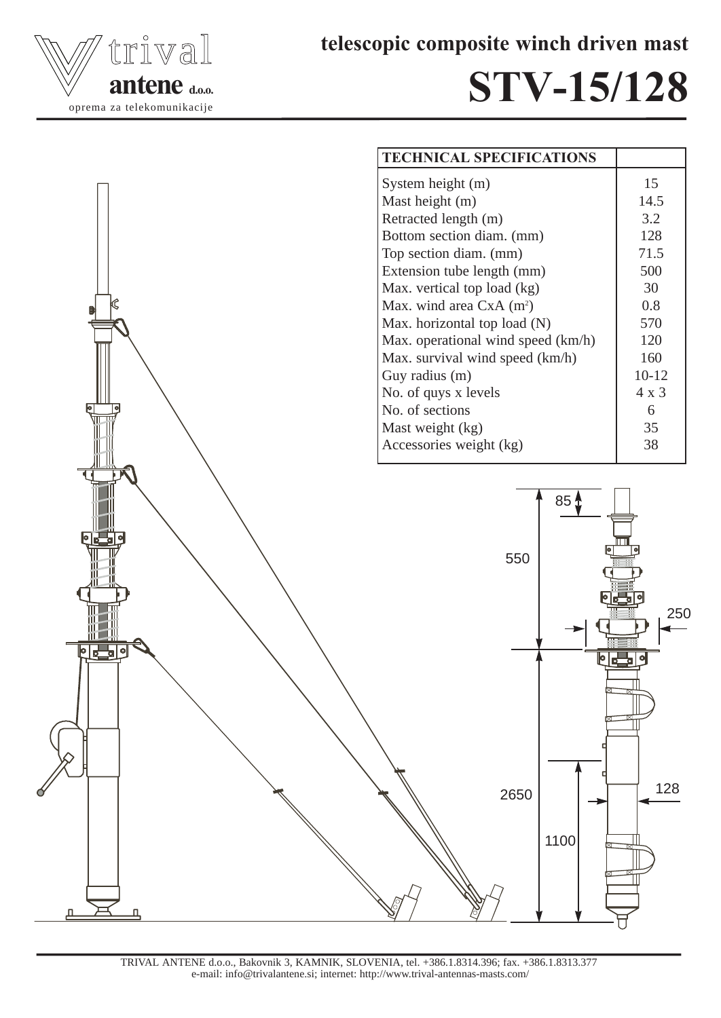

telescopic composite winch driven mast

## STV-15/128



TRIVAL ANTENE d.o.o., Bakovnik 3, KAMNIK, SLOVENIA, tel. +386.1.8314.396; fax. +386.1.8313.377 e-mail: info@trivalantene.si; internet: http://www.trival-antennas-masts.com/